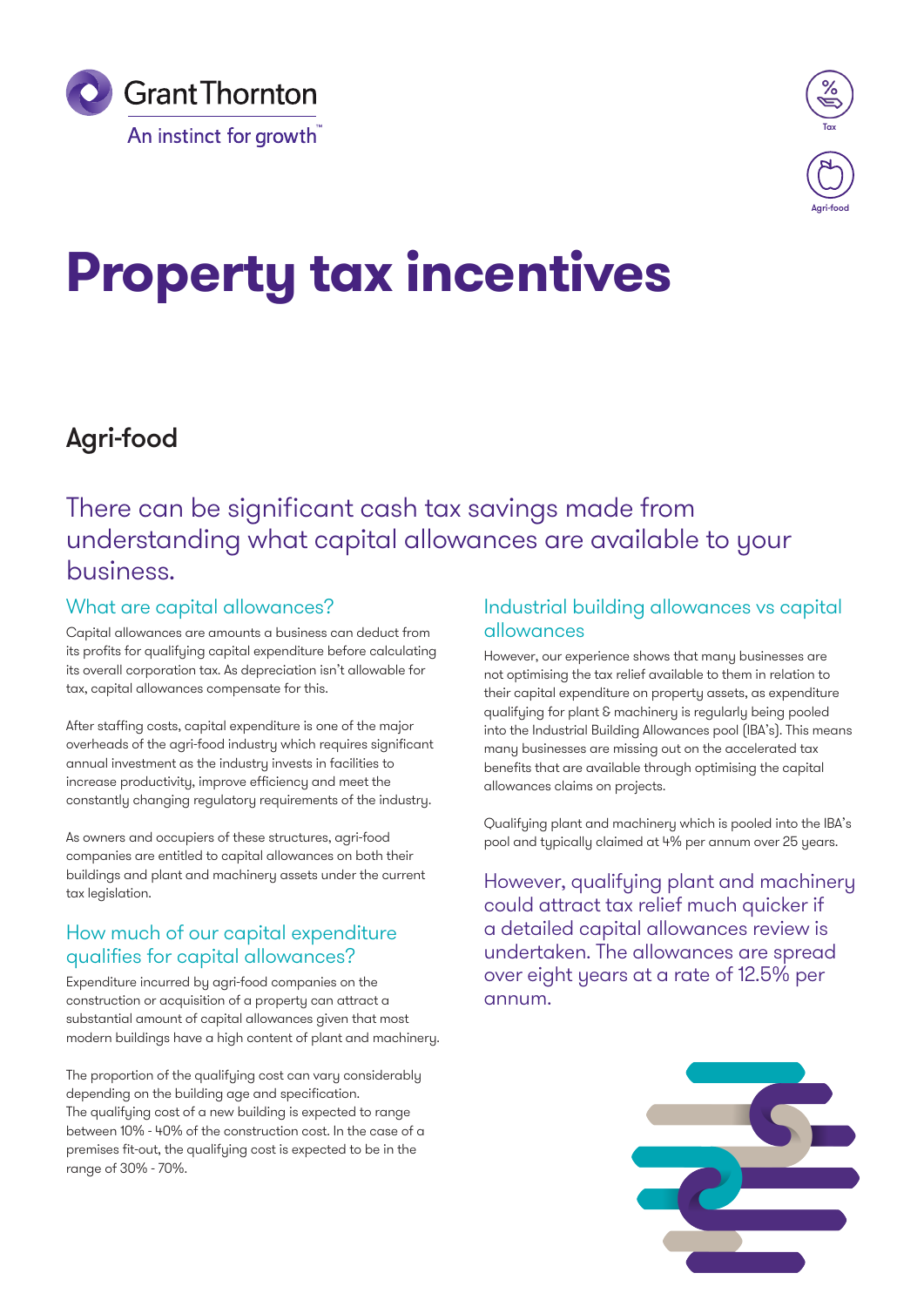



# **Property tax incentives**

# Agri-food

## There can be significant cash tax savings made from understanding what capital allowances are available to your business.

## What are capital allowances?

Capital allowances are amounts a business can deduct from its profits for qualifying capital expenditure before calculating its overall corporation tax. As depreciation isn't allowable for tax, capital allowances compensate for this.

After staffing costs, capital expenditure is one of the major overheads of the agri-food industry which requires significant annual investment as the industry invests in facilities to increase productivity, improve efficiency and meet the constantly changing regulatory requirements of the industry.

As owners and occupiers of these structures, agri-food companies are entitled to capital allowances on both their buildings and plant and machinery assets under the current tax legislation.

## How much of our capital expenditure qualifies for capital allowances?

Expenditure incurred by agri-food companies on the construction or acquisition of a property can attract a substantial amount of capital allowances given that most modern buildings have a high content of plant and machinery.

The proportion of the qualifying cost can vary considerably depending on the building age and specification. The qualifying cost of a new building is expected to range between 10% - 40% of the construction cost. In the case of a premises fit-out, the qualifying cost is expected to be in the range of 30% - 70%.

## Industrial building allowances vs capital allowances

However, our experience shows that many businesses are not optimising the tax relief available to them in relation to their capital expenditure on property assets, as expenditure qualifying for plant & machinery is regularly being pooled into the Industrial Building Allowances pool (IBA's). This means many businesses are missing out on the accelerated tax benefits that are available through optimising the capital allowances claims on projects.

Qualifying plant and machinery which is pooled into the IBA's pool and typically claimed at 4% per annum over 25 years.

However, qualifying plant and machinery could attract tax relief much quicker if a detailed capital allowances review is undertaken. The allowances are spread over eight years at a rate of 12.5% per annum.

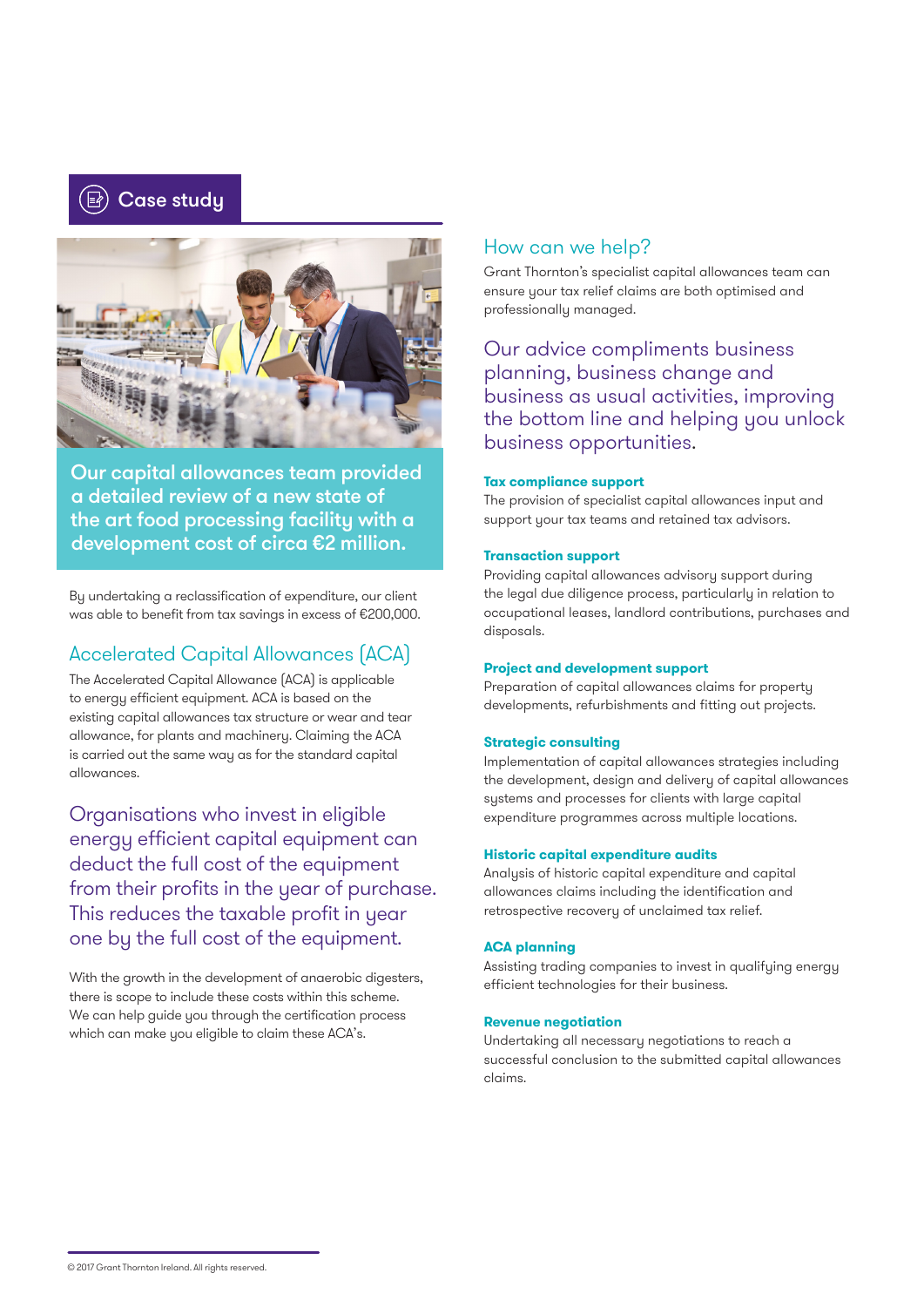



Our capital allowances team provided a detailed review of a new state of the art food processing facility with a development cost of circa €2 million.

By undertaking a reclassification of expenditure, our client was able to benefit from tax savings in excess of €200,000.

## Accelerated Capital Allowances (ACA)

The Accelerated Capital Allowance (ACA) is applicable to energy efficient equipment. ACA is based on the existing capital allowances tax structure or wear and tear allowance, for plants and machinery. Claiming the ACA is carried out the same way as for the standard capital allowances.

Organisations who invest in eligible energy efficient capital equipment can deduct the full cost of the equipment from their profits in the year of purchase. This reduces the taxable profit in year one by the full cost of the equipment.

With the growth in the development of anaerobic digesters, there is scope to include these costs within this scheme. We can help guide you through the certification process which can make you eligible to claim these ACA's.

### How can we help?

Grant Thornton's specialist capital allowances team can ensure your tax relief claims are both optimised and professionally managed.

Our advice compliments business planning, business change and business as usual activities, improving the bottom line and helping you unlock business opportunities.

#### **Tax compliance support**

The provision of specialist capital allowances input and support your tax teams and retained tax advisors.

#### **Transaction support**

Providing capital allowances advisory support during the legal due diligence process, particularly in relation to occupational leases, landlord contributions, purchases and disposals.

#### **Project and development support**

Preparation of capital allowances claims for property developments, refurbishments and fitting out projects.

#### **Strategic consulting**

Implementation of capital allowances strategies including the development, design and delivery of capital allowances systems and processes for clients with large capital expenditure programmes across multiple locations.

#### **Historic capital expenditure audits**

Analysis of historic capital expenditure and capital allowances claims including the identification and retrospective recovery of unclaimed tax relief.

#### **ACA planning**

Assisting trading companies to invest in qualifying energy efficient technologies for their business.

#### **Revenue negotiation**

Undertaking all necessary negotiations to reach a successful conclusion to the submitted capital allowances claims.